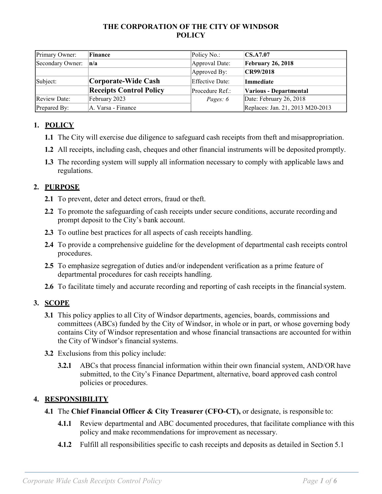## **THE CORPORATION OF THE CITY OF WINDSOR POLICY**

| Primary Owner:      | Finance                        | Policy No.:            | $\vert$ CS.A7.07                 |
|---------------------|--------------------------------|------------------------|----------------------------------|
| Secondary Owner:    | n/a                            | Approval Date:         | <b>February 26, 2018</b>         |
|                     |                                | Approved By:           | CR99/2018                        |
| Subject:            | Corporate-Wide Cash            | <b>Effective Date:</b> | <b>Immediate</b>                 |
|                     | <b>Receipts Control Policy</b> | Procedure Ref.:        | Various - Departmental           |
| <b>Review Date:</b> | February 2023                  | Pages: 6               | Date: February 26, 2018          |
| Prepared By:        | A. Varsa - Finance             |                        | Replaces: Jan. 21, 2013 M20-2013 |

# **1. POLICY**

- **1.1** The City will exercise due diligence to safeguard cash receipts from theft and misappropriation.
- **1.2** All receipts, including cash, cheques and other financial instruments will be deposited promptly.
- **1.3** The recording system will supply all information necessary to comply with applicable laws and regulations.

## **2. PURPOSE**

- **2.1** To prevent, deter and detect errors, fraud or theft.
- **2.2** To promote the safeguarding of cash receipts under secure conditions, accurate recording and prompt deposit to the City's bank account.
- **2.3** To outline best practices for all aspects of cash receipts handling.
- **2.4** To provide a comprehensive guideline for the development of departmental cash receipts control procedures.
- **2.5** To emphasize segregation of duties and/or independent verification as a prime feature of departmental procedures for cash receipts handling.
- 2.6 To facilitate timely and accurate recording and reporting of cash receipts in the financial system.

# **3. SCOPE**

- **3.1** This policy applies to all City of Windsor departments, agencies, boards, commissions and committees (ABCs) funded by the City of Windsor, in whole or in part, or whose governing body contains City of Windsor representation and whose financial transactions are accounted for within the City of Windsor's financial systems.
- **3.2** Exclusions from this policy include:
	- **3.2.1** ABCs that process financial information within their own financial system, AND/OR have submitted, to the City's Finance Department, alternative, board approved cash control policies or procedures.

## **4. RESPONSIBILITY**

- **4.1** The **Chief Financial Officer & City Treasurer (CFO-CT),** or designate, is responsible to:
	- **4.1.1** Review departmental and ABC documented procedures, that facilitate compliance with this policy and make recommendations for improvement as necessary.
	- **4.1.2** Fulfill all responsibilities specific to cash receipts and deposits as detailed in Section 5.1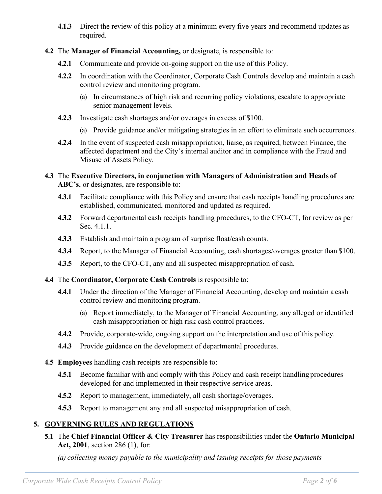- **4.1.3** Direct the review of this policy at a minimum every five years and recommend updates as required.
- **4.2** The **Manager of Financial Accounting,** or designate, is responsible to:
	- **4.2.1** Communicate and provide on-going support on the use of this Policy.
	- **4.2.2** In coordination with the Coordinator, Corporate Cash Controls develop and maintain a cash control review and monitoring program.
		- (a) In circumstances of high risk and recurring policy violations, escalate to appropriate senior management levels.
	- **4.2.3** Investigate cash shortages and/or overages in excess of \$100.
		- (a) Provide guidance and/or mitigating strategies in an effort to eliminate such occurrences.
	- **4.2.4** In the event of suspected cash misappropriation, liaise, as required, between Finance, the affected department and the City's internal auditor and in compliance with the Fraud and Misuse of Assets Policy.
- **4.3** The **Executive Directors, in conjunction with Managers of Administration and Heads of ABC's**, or designates, are responsible to:
	- **4.3.1** Facilitate compliance with this Policy and ensure that cash receipts handling procedures are established, communicated, monitored and updated as required.
	- **4.3.2** Forward departmental cash receipts handling procedures, to the CFO-CT, for review as per Sec. 4.1.1.
	- **4.3.3** Establish and maintain a program of surprise float/cash counts.
	- **4.3.4** Report, to the Manager of Financial Accounting, cash shortages/overages greater than \$100.
	- **4.3.5** Report, to the CFO-CT, any and all suspected misappropriation of cash.
- **4.4** The **Coordinator, Corporate Cash Controls** is responsible to:
	- **4.4.1** Under the direction of the Manager of Financial Accounting, develop and maintain a cash control review and monitoring program.
		- (a) Report immediately, to the Manager of Financial Accounting, any alleged or identified cash misappropriation or high risk cash control practices.
	- **4.4.2** Provide, corporate-wide, ongoing support on the interpretation and use of this policy.
	- **4.4.3** Provide guidance on the development of departmental procedures.
- **4.5 Employees** handling cash receipts are responsible to:
	- **4.5.1** Become familiar with and comply with this Policy and cash receipt handling procedures developed for and implemented in their respective service areas.
	- **4.5.2** Report to management, immediately, all cash shortage/overages.
	- **4.5.3** Report to management any and all suspected misappropriation of cash.

# **5. GOVERNING RULES AND REGULATIONS**

**5.1** The **Chief Financial Officer & City Treasurer** has responsibilities under the **Ontario Municipal Act, 2001**, section 286 (1), for:

*(a) collecting money payable to the municipality and issuing receipts for those payments*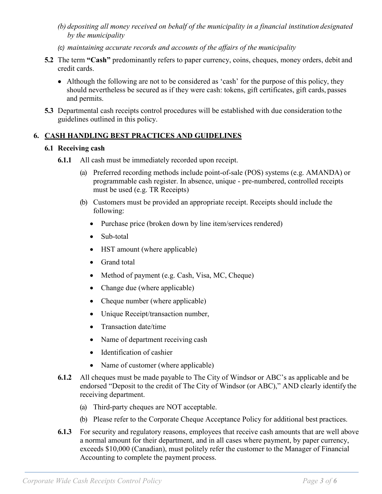- *(b) depositing all money received on behalf of the municipality in a financial institution designated by the municipality*
- *(c) maintaining accurate records and accounts of the affairs of the municipality*
- **5.2** The term **"Cash"** predominantly refers to paper currency, coins, cheques, money orders, debit and credit cards.
	- Although the following are not to be considered as 'cash' for the purpose of this policy, they should nevertheless be secured as if they were cash: tokens, gift certificates, gift cards, passes and permits.
- **5.3** Departmental cash receipts control procedures will be established with due consideration tothe guidelines outlined in this policy.

## **6. CASH HANDLING BEST PRACTICES AND GUIDELINES**

### **6.1 Receiving cash**

- **6.1.1** All cash must be immediately recorded upon receipt.
	- (a) Preferred recording methods include point-of-sale (POS) systems (e.g. AMANDA) or programmable cash register. In absence, unique - pre-numbered, controlled receipts must be used (e.g. TR Receipts)
	- (b) Customers must be provided an appropriate receipt. Receipts should include the following:
		- Purchase price (broken down by line item/services rendered)
		- Sub-total
		- HST amount (where applicable)
		- Grand total
		- Method of payment (e.g. Cash, Visa, MC, Cheque)
		- Change due (where applicable)
		- Cheque number (where applicable)
		- Unique Receipt/transaction number,
		- Transaction date/time
		- Name of department receiving cash
		- Identification of cashier
		- Name of customer (where applicable)
- **6.1.2** All cheques must be made payable to The City of Windsor or ABC's as applicable and be endorsed "Deposit to the credit of The City of Windsor (or ABC)," AND clearly identify the receiving department.
	- (a) Third-party cheques are NOT acceptable.
	- (b) Please refer to the Corporate Cheque Acceptance Policy for additional best practices.
- **6.1.3** For security and regulatory reasons, employees that receive cash amounts that are well above a normal amount for their department, and in all cases where payment, by paper currency, exceeds \$10,000 (Canadian), must politely refer the customer to the Manager of Financial Accounting to complete the payment process.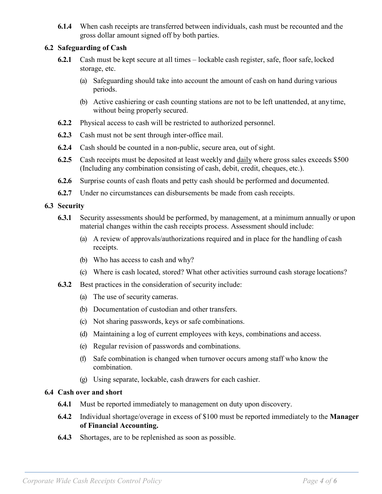**6.1.4** When cash receipts are transferred between individuals, cash must be recounted and the gross dollar amount signed off by both parties.

### **6.2 Safeguarding of Cash**

- **6.2.1** Cash must be kept secure at all times lockable cash register, safe, floor safe, locked storage, etc.
	- (a) Safeguarding should take into account the amount of cash on hand during various periods.
	- (b) Active cashiering or cash counting stations are not to be left unattended, at any time, without being properly secured.
- **6.2.2** Physical access to cash will be restricted to authorized personnel.
- **6.2.3** Cash must not be sent through inter-office mail.
- **6.2.4** Cash should be counted in a non-public, secure area, out of sight.
- **6.2.5** Cash receipts must be deposited at least weekly and **daily** where gross sales exceeds \$500 (Including any combination consisting of cash, debit, credit, cheques, etc.).
- **6.2.6** Surprise counts of cash floats and petty cash should be performed and documented.
- **6.2.7** Under no circumstances can disbursements be made from cash receipts.

#### **6.3 Security**

- **6.3.1** Security assessments should be performed, by management, at a minimum annually or upon material changes within the cash receipts process. Assessment should include:
	- (a) A review of approvals/authorizations required and in place for the handling of cash receipts.
	- (b) Who has access to cash and why?
	- (c) Where is cash located, stored? What other activities surround cash storage locations?
- **6.3.2** Best practices in the consideration of security include:
	- (a) The use of security cameras.
	- (b) Documentation of custodian and other transfers.
	- (c) Not sharing passwords, keys or safe combinations.
	- (d) Maintaining a log of current employees with keys, combinations and access.
	- (e) Regular revision of passwords and combinations.
	- (f) Safe combination is changed when turnover occurs among staff who know the combination.
	- (g) Using separate, lockable, cash drawers for each cashier.

### **6.4 Cash over and short**

- **6.4.1** Must be reported immediately to management on duty upon discovery.
- **6.4.2** Individual shortage/overage in excess of \$100 must be reported immediately to the **Manager of Financial Accounting.**
- **6.4.3** Shortages, are to be replenished as soon as possible.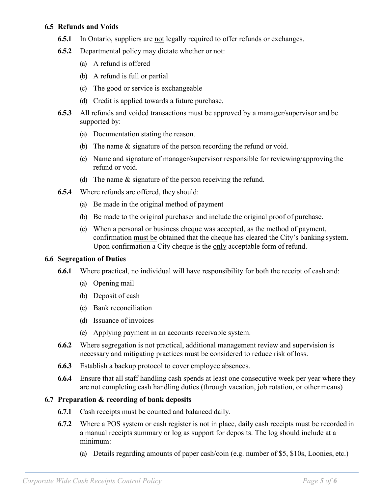#### **6.5 Refunds and Voids**

- **6.5.1** In Ontario, suppliers are not legally required to offer refunds or exchanges.
- **6.5.2** Departmental policy may dictate whether or not:
	- (a) A refund is offered
	- (b) A refund is full or partial
	- (c) The good or service is exchangeable
	- (d) Credit is applied towards a future purchase.
- **6.5.3** All refunds and voided transactions must be approved by a manager/supervisor and be supported by:
	- (a) Documentation stating the reason.
	- (b) The name & signature of the person recording the refund or void.
	- (c) Name and signature of manager/supervisor responsible for reviewing/approving the refund or void.
	- (d) The name & signature of the person receiving the refund.
- **6.5.4** Where refunds are offered, they should:
	- (a) Be made in the original method of payment
	- (b) Be made to the original purchaser and include the original proof of purchase.
	- (c) When a personal or business cheque was accepted, as the method of payment, confirmation must be obtained that the cheque has cleared the City's banking system. Upon confirmation a City cheque is the only acceptable form of refund.

#### **6.6 Segregation of Duties**

- **6.6.1** Where practical, no individual will have responsibility for both the receipt of cash and:
	- (a) Opening mail
	- (b) Deposit of cash
	- (c) Bank reconciliation
	- (d) Issuance of invoices
	- (e) Applying payment in an accounts receivable system.
- **6.6.2** Where segregation is not practical, additional management review and supervision is necessary and mitigating practices must be considered to reduce risk of loss.
- **6.6.3** Establish a backup protocol to cover employee absences.
- **6.6.4** Ensure that all staff handling cash spends at least one consecutive week per year where they are not completing cash handling duties (through vacation, job rotation, or other means)

### **6.7 Preparation & recording of bank deposits**

- **6.7.1** Cash receipts must be counted and balanced daily.
- **6.7.2** Where a POS system or cash register is not in place, daily cash receipts must be recorded in a manual receipts summary or log as support for deposits. The log should include at a minimum:
	- (a) Details regarding amounts of paper cash/coin (e.g. number of \$5, \$10s, Loonies, etc.)